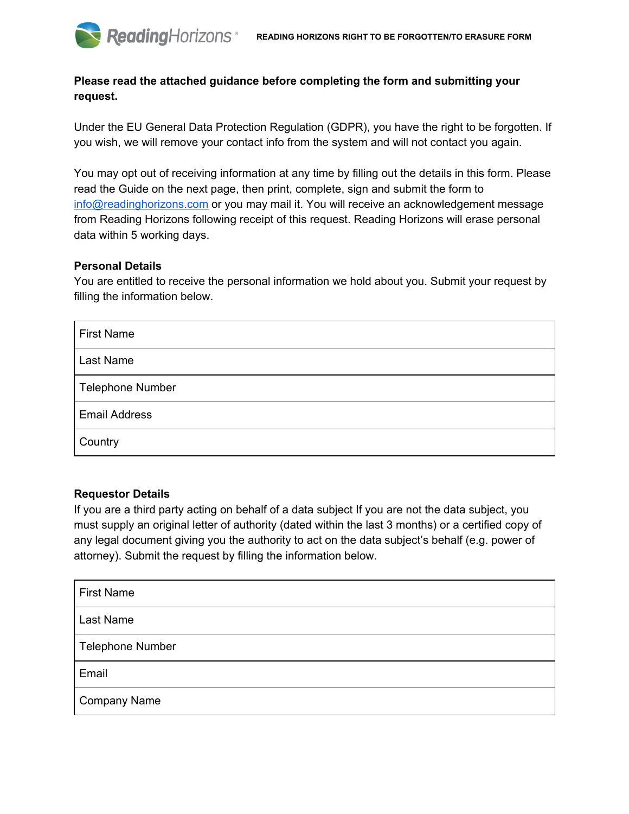# **Please read the attached guidance before completing the form and submitting your request.**

Under the EU General Data Protection Regulation (GDPR), you have the right to be forgotten. If you wish, we will remove your contact info from the system and will not contact you again.

You may opt out of receiving information at any time by filling out the details in this form. Please read the Guide on the next page, then print, complete, sign and submit the form to info@readinghorizons.com or you may mail it. You will receive an acknowledgement message from Reading Horizons following receipt of this request. Reading Horizons will erase personal data within 5 working days.

### **Personal Details**

You are entitled to receive the personal information we hold about you. Submit your request by filling the information below.

| <b>First Name</b>       |
|-------------------------|
| Last Name               |
| <b>Telephone Number</b> |
| <b>Email Address</b>    |
| Country                 |

### **Requestor Details**

If you are a third party acting on behalf of a data subject If you are not the data subject, you must supply an original letter of authority (dated within the last 3 months) or a certified copy of any legal document giving you the authority to act on the data subject's behalf (e.g. power of attorney). Submit the request by filling the information below.

| <b>First Name</b>       |
|-------------------------|
| Last Name               |
| <b>Telephone Number</b> |
| Email                   |
| <b>Company Name</b>     |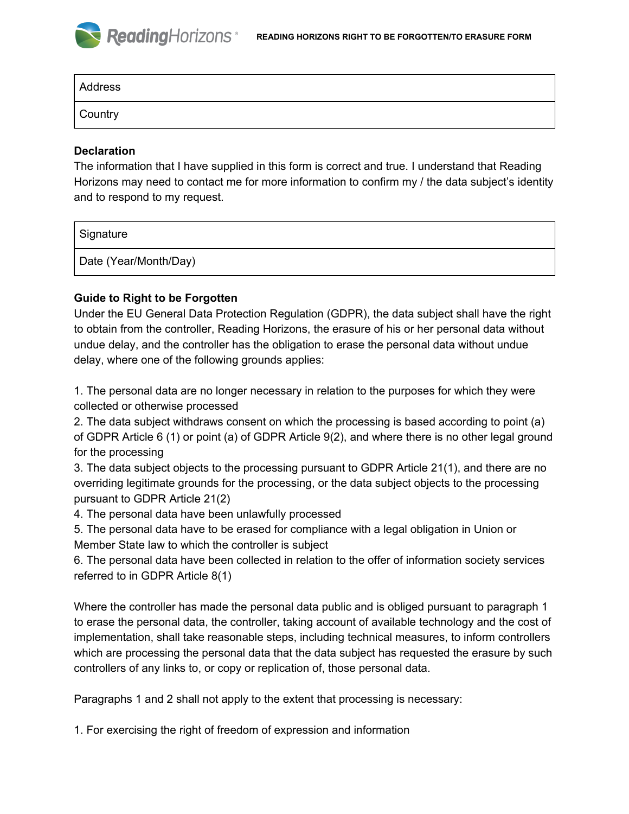#### **ReadingHorizons READING HORIZONS RIGHT TO BE FORGOTTEN/TO ERASURE FORM**

| Address |  |  |
|---------|--|--|
| Country |  |  |

### **Declaration**

The information that I have supplied in this form is correct and true. I understand that Reading Horizons may need to contact me for more information to confirm my / the data subject's identity and to respond to my request.

| Signature             |  |
|-----------------------|--|
| Date (Year/Month/Day) |  |

## **Guide to Right to be Forgotten**

Under the EU General Data Protection Regulation (GDPR), the data subject shall have the right to obtain from the controller, Reading Horizons, the erasure of his or her personal data without undue delay, and the controller has the obligation to erase the personal data without undue delay, where one of the following grounds applies:

1. The personal data are no longer necessary in relation to the purposes for which they were collected or otherwise processed

2. The data subject withdraws consent on which the processing is based according to point (a) of GDPR Article 6 (1) or point (a) of GDPR Article 9(2), and where there is no other legal ground for the processing

3. The data subject objects to the processing pursuant to GDPR Article 21(1), and there are no overriding legitimate grounds for the processing, or the data subject objects to the processing pursuant to GDPR Article 21(2)

4. The personal data have been unlawfully processed

5. The personal data have to be erased for compliance with a legal obligation in Union or Member State law to which the controller is subject

6. The personal data have been collected in relation to the offer of information society services referred to in GDPR Article 8(1)

Where the controller has made the personal data public and is obliged pursuant to paragraph 1 to erase the personal data, the controller, taking account of available technology and the cost of implementation, shall take reasonable steps, including technical measures, to inform controllers which are processing the personal data that the data subject has requested the erasure by such controllers of any links to, or copy or replication of, those personal data.

Paragraphs 1 and 2 shall not apply to the extent that processing is necessary:

1. For exercising the right of freedom of expression and information